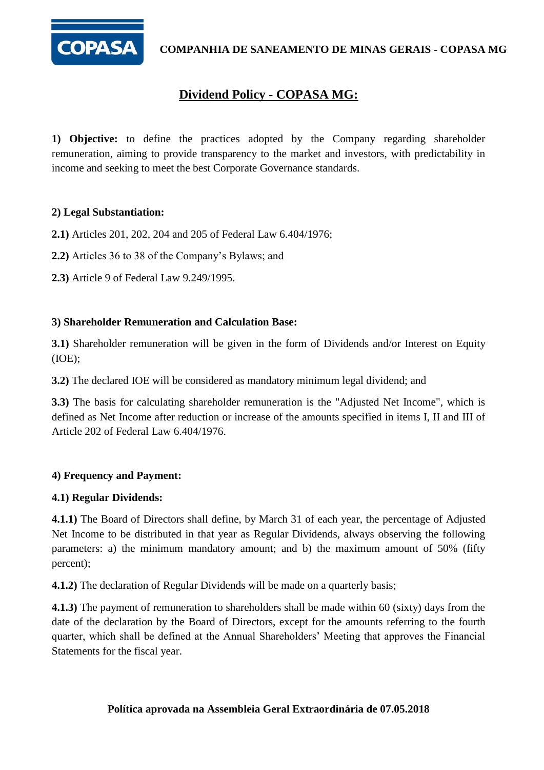

**COMPANHIA DE SANEAMENTO DE MINAS GERAIS - COPASA MG**

# **Dividend Policy - COPASA MG:**

**1) Objective:** to define the practices adopted by the Company regarding shareholder remuneration, aiming to provide transparency to the market and investors, with predictability in income and seeking to meet the best Corporate Governance standards.

# **2) Legal Substantiation:**

**2.1)** Articles 201, 202, 204 and 205 of Federal Law 6.404/1976;

**2.2)** Articles 36 to 38 of the Company's Bylaws; and

**2.3)** Article 9 of Federal Law 9.249/1995.

#### **3) Shareholder Remuneration and Calculation Base:**

**3.1)** Shareholder remuneration will be given in the form of Dividends and/or Interest on Equity (IOE);

**3.2)** The declared IOE will be considered as mandatory minimum legal dividend; and

**3.3)** The basis for calculating shareholder remuneration is the "Adjusted Net Income", which is defined as Net Income after reduction or increase of the amounts specified in items I, II and III of Article 202 of Federal Law 6.404/1976.

# **4) Frequency and Payment:**

# **4.1) Regular Dividends:**

**4.1.1)** The Board of Directors shall define, by March 31 of each year, the percentage of Adjusted Net Income to be distributed in that year as Regular Dividends, always observing the following parameters: a) the minimum mandatory amount; and b) the maximum amount of 50% (fifty percent);

**4.1.2)** The declaration of Regular Dividends will be made on a quarterly basis;

**4.1.3)** The payment of remuneration to shareholders shall be made within 60 (sixty) days from the date of the declaration by the Board of Directors, except for the amounts referring to the fourth quarter, which shall be defined at the Annual Shareholders' Meeting that approves the Financial Statements for the fiscal year.